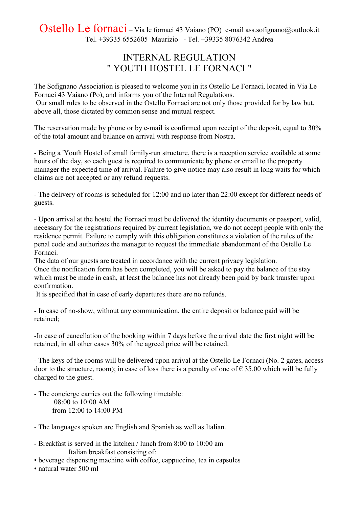Ostello Le fornaci – Via le fornaci 43 Vaiano (PO) e-mail ass.sofignano@outlook.it Tel. +39335 6552605 Maurizio - Tel. +39335 8076342 Andrea

## INTERNAL REGULATION " YOUTH HOSTEL LE FORNACI "

The Sofignano Association is pleased to welcome you in its Ostello Le Fornaci, located in Via Le Fornaci 43 Vaiano (Po), and informs you of the Internal Regulations. Our small rules to be observed in the Ostello Fornaci are not only those provided for by law but, above all, those dictated by common sense and mutual respect.

The reservation made by phone or by e-mail is confirmed upon receipt of the deposit, equal to 30% of the total amount and balance on arrival with response from Nostra.

- Being a 'Youth Hostel of small family-run structure, there is a reception service available at some hours of the day, so each guest is required to communicate by phone or email to the property manager the expected time of arrival. Failure to give notice may also result in long waits for which claims are not accepted or any refund requests.

- The delivery of rooms is scheduled for 12:00 and no later than 22:00 except for different needs of guests.

- Upon arrival at the hostel the Fornaci must be delivered the identity documents or passport, valid, necessary for the registrations required by current legislation, we do not accept people with only the residence permit. Failure to comply with this obligation constitutes a violation of the rules of the penal code and authorizes the manager to request the immediate abandonment of the Ostello Le Fornaci.

The data of our guests are treated in accordance with the current privacy legislation. Once the notification form has been completed, you will be asked to pay the balance of the stay which must be made in cash, at least the balance has not already been paid by bank transfer upon confirmation.

It is specified that in case of early departures there are no refunds.

- In case of no-show, without any communication, the entire deposit or balance paid will be retained;

-In case of cancellation of the booking within 7 days before the arrival date the first night will be retained, in all other cases 30% of the agreed price will be retained.

- The keys of the rooms will be delivered upon arrival at the Ostello Le Fornaci (No. 2 gates, access door to the structure, room); in case of loss there is a penalty of one of  $\epsilon$  35.00 which will be fully charged to the guest.

- The concierge carries out the following timetable: 08:00 to 10:00 AM from 12:00 to 14:00 PM

- The languages spoken are English and Spanish as well as Italian.
- Breakfast is served in the kitchen / lunch from 8:00 to 10:00 am Italian breakfast consisting of:
- beverage dispensing machine with coffee, cappuccino, tea in capsules
- natural water 500 ml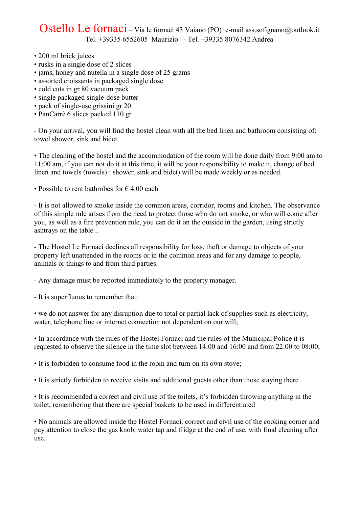## Ostello Le fornaci – Via le fornaci 43 Vaiano (PO) e-mail ass.sofignano@outlook.it Tel. +39335 6552605 Maurizio - Tel. +39335 8076342 Andrea

- 200 ml brick juices
- rusks in a single dose of 2 slices
- jams, honey and nutella in a single dose of 25 grams
- assorted croissants in packaged single dose
- cold cuts in gr 80 vacuum pack
- single packaged single-dose butter
- pack of single-use grissini gr 20
- PanCarrè 6 slices packed 110 gr

- On your arrival, you will find the hostel clean with all the bed linen and bathroom consisting of: towel shower, sink and bidet.

• The cleaning of the hostel and the accommodation of the room will be done daily from 9:00 am to 11:00 am, if you can not do it at this time, it will be your responsibility to make it, change of bed linen and towels (towels) : shower, sink and bidet) will be made weekly or as needed.

• Possible to rent bathrobes for  $\epsilon$  4.00 each

- It is not allowed to smoke inside the common areas, corridor, rooms and kitchen. The observance of this simple rule arises from the need to protect those who do not smoke, or who will come after you, as well as a fire prevention rule, you can do it on the outside in the garden, using strictly ashtrays on the table ..

- The Hostel Le Fornaci declines all responsibility for loss, theft or damage to objects of your property left unattended in the rooms or in the common areas and for any damage to people, animals or things to and from third parties.

- Any damage must be reported immediately to the property manager.

- It is superfluous to remember that:

• we do not answer for any disruption due to total or partial lack of supplies such as electricity, water, telephone line or internet connection not dependent on our will;

• In accordance with the rules of the Hostel Fornaci and the rules of the Municipal Police it is requested to observe the silence in the time slot between 14:00 and 16:00 and from 22:00 to 08:00;

• It is forbidden to consume food in the room and turn on its own stove;

• It is strictly forbidden to receive visits and additional guests other than those staying there

• It is recommended a correct and civil use of the toilets, it's forbidden throwing anything in the toilet, remembering that there are special baskets to be used in differentiated

• No animals are allowed inside the Hostel Fornaci. correct and civil use of the cooking corner and pay attention to close the gas knob, water tap and fridge at the end of use, with final cleaning after use.